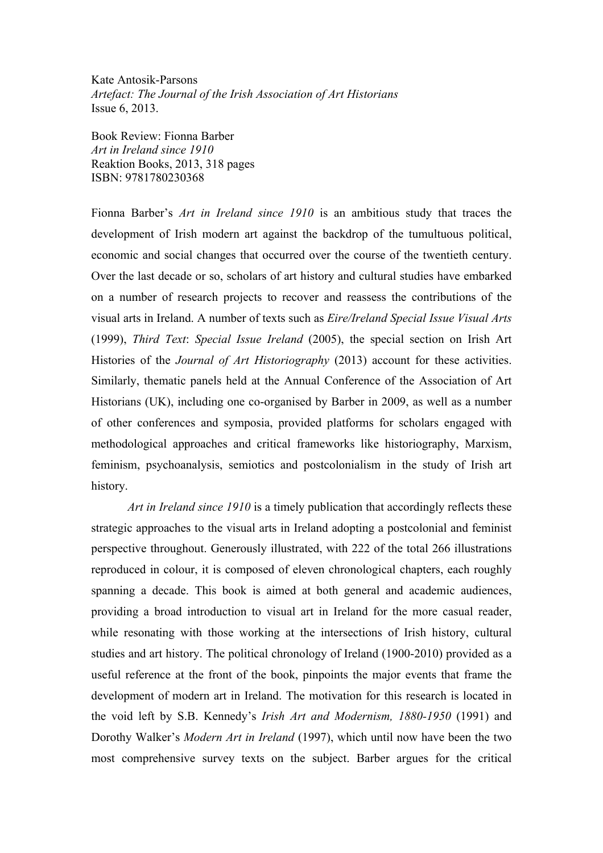Kate Antosik-Parsons *Artefact: The Journal of the Irish Association of Art Historians* Issue 6, 2013.

Book Review: Fionna Barber *Art in Ireland since 1910* Reaktion Books, 2013, 318 pages ISBN: 9781780230368

Fionna Barber's *Art in Ireland since 1910* is an ambitious study that traces the development of Irish modern art against the backdrop of the tumultuous political, economic and social changes that occurred over the course of the twentieth century. Over the last decade or so, scholars of art history and cultural studies have embarked on a number of research projects to recover and reassess the contributions of the visual arts in Ireland. A number of texts such as *Eire/Ireland Special Issue Visual Arts*  (1999), *Third Text*: *Special Issue Ireland* (2005), the special section on Irish Art Histories of the *Journal of Art Historiography* (2013) account for these activities. Similarly, thematic panels held at the Annual Conference of the Association of Art Historians (UK), including one co-organised by Barber in 2009, as well as a number of other conferences and symposia, provided platforms for scholars engaged with methodological approaches and critical frameworks like historiography, Marxism, feminism, psychoanalysis, semiotics and postcolonialism in the study of Irish art history.

*Art in Ireland since 1910* is a timely publication that accordingly reflects these strategic approaches to the visual arts in Ireland adopting a postcolonial and feminist perspective throughout. Generously illustrated, with 222 of the total 266 illustrations reproduced in colour, it is composed of eleven chronological chapters, each roughly spanning a decade. This book is aimed at both general and academic audiences, providing a broad introduction to visual art in Ireland for the more casual reader, while resonating with those working at the intersections of Irish history, cultural studies and art history. The political chronology of Ireland (1900-2010) provided as a useful reference at the front of the book, pinpoints the major events that frame the development of modern art in Ireland. The motivation for this research is located in the void left by S.B. Kennedy's *Irish Art and Modernism, 1880-1950* (1991) and Dorothy Walker's *Modern Art in Ireland* (1997), which until now have been the two most comprehensive survey texts on the subject. Barber argues for the critical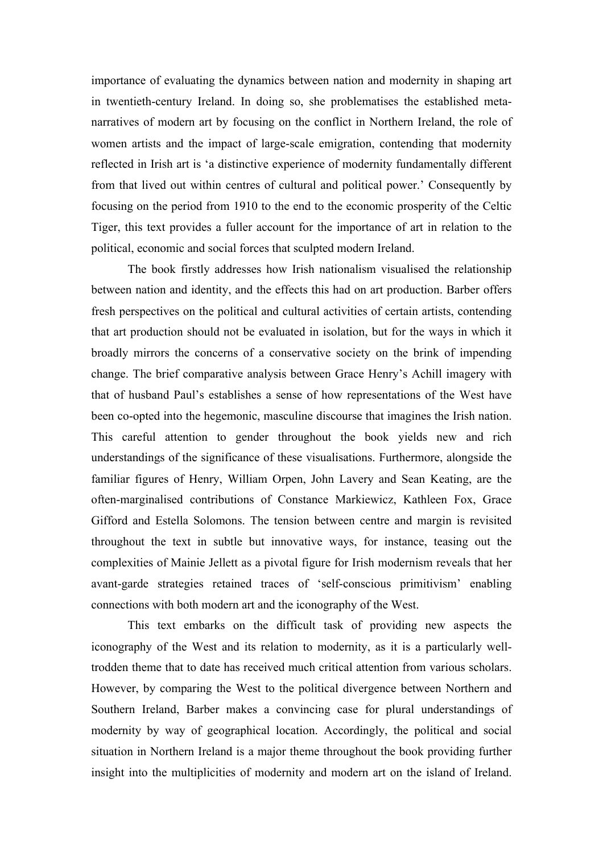importance of evaluating the dynamics between nation and modernity in shaping art in twentieth-century Ireland. In doing so, she problematises the established metanarratives of modern art by focusing on the conflict in Northern Ireland, the role of women artists and the impact of large-scale emigration, contending that modernity reflected in Irish art is 'a distinctive experience of modernity fundamentally different from that lived out within centres of cultural and political power.' Consequently by focusing on the period from 1910 to the end to the economic prosperity of the Celtic Tiger, this text provides a fuller account for the importance of art in relation to the political, economic and social forces that sculpted modern Ireland.

The book firstly addresses how Irish nationalism visualised the relationship between nation and identity, and the effects this had on art production. Barber offers fresh perspectives on the political and cultural activities of certain artists, contending that art production should not be evaluated in isolation, but for the ways in which it broadly mirrors the concerns of a conservative society on the brink of impending change. The brief comparative analysis between Grace Henry's Achill imagery with that of husband Paul's establishes a sense of how representations of the West have been co-opted into the hegemonic, masculine discourse that imagines the Irish nation. This careful attention to gender throughout the book yields new and rich understandings of the significance of these visualisations. Furthermore, alongside the familiar figures of Henry, William Orpen, John Lavery and Sean Keating, are the often-marginalised contributions of Constance Markiewicz, Kathleen Fox, Grace Gifford and Estella Solomons. The tension between centre and margin is revisited throughout the text in subtle but innovative ways, for instance, teasing out the complexities of Mainie Jellett as a pivotal figure for Irish modernism reveals that her avant-garde strategies retained traces of 'self-conscious primitivism' enabling connections with both modern art and the iconography of the West.

This text embarks on the difficult task of providing new aspects the iconography of the West and its relation to modernity, as it is a particularly welltrodden theme that to date has received much critical attention from various scholars. However, by comparing the West to the political divergence between Northern and Southern Ireland, Barber makes a convincing case for plural understandings of modernity by way of geographical location. Accordingly, the political and social situation in Northern Ireland is a major theme throughout the book providing further insight into the multiplicities of modernity and modern art on the island of Ireland.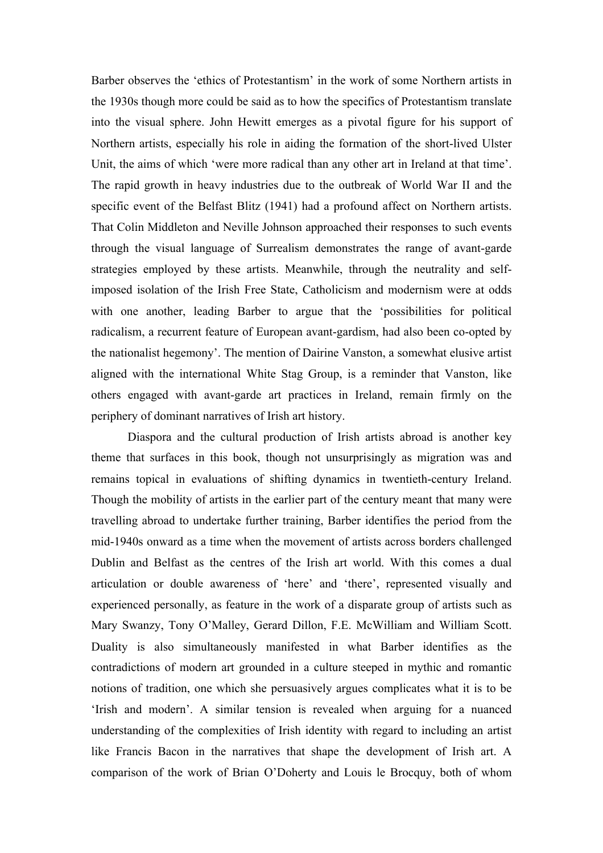Barber observes the 'ethics of Protestantism' in the work of some Northern artists in the 1930s though more could be said as to how the specifics of Protestantism translate into the visual sphere. John Hewitt emerges as a pivotal figure for his support of Northern artists, especially his role in aiding the formation of the short-lived Ulster Unit, the aims of which 'were more radical than any other art in Ireland at that time'. The rapid growth in heavy industries due to the outbreak of World War II and the specific event of the Belfast Blitz (1941) had a profound affect on Northern artists. That Colin Middleton and Neville Johnson approached their responses to such events through the visual language of Surrealism demonstrates the range of avant-garde strategies employed by these artists. Meanwhile, through the neutrality and selfimposed isolation of the Irish Free State, Catholicism and modernism were at odds with one another, leading Barber to argue that the 'possibilities for political radicalism, a recurrent feature of European avant-gardism, had also been co-opted by the nationalist hegemony'. The mention of Dairine Vanston, a somewhat elusive artist aligned with the international White Stag Group, is a reminder that Vanston, like others engaged with avant-garde art practices in Ireland, remain firmly on the periphery of dominant narratives of Irish art history.

Diaspora and the cultural production of Irish artists abroad is another key theme that surfaces in this book, though not unsurprisingly as migration was and remains topical in evaluations of shifting dynamics in twentieth-century Ireland. Though the mobility of artists in the earlier part of the century meant that many were travelling abroad to undertake further training, Barber identifies the period from the mid-1940s onward as a time when the movement of artists across borders challenged Dublin and Belfast as the centres of the Irish art world. With this comes a dual articulation or double awareness of 'here' and 'there', represented visually and experienced personally, as feature in the work of a disparate group of artists such as Mary Swanzy, Tony O'Malley, Gerard Dillon, F.E. McWilliam and William Scott. Duality is also simultaneously manifested in what Barber identifies as the contradictions of modern art grounded in a culture steeped in mythic and romantic notions of tradition, one which she persuasively argues complicates what it is to be 'Irish and modern'. A similar tension is revealed when arguing for a nuanced understanding of the complexities of Irish identity with regard to including an artist like Francis Bacon in the narratives that shape the development of Irish art. A comparison of the work of Brian O'Doherty and Louis le Brocquy, both of whom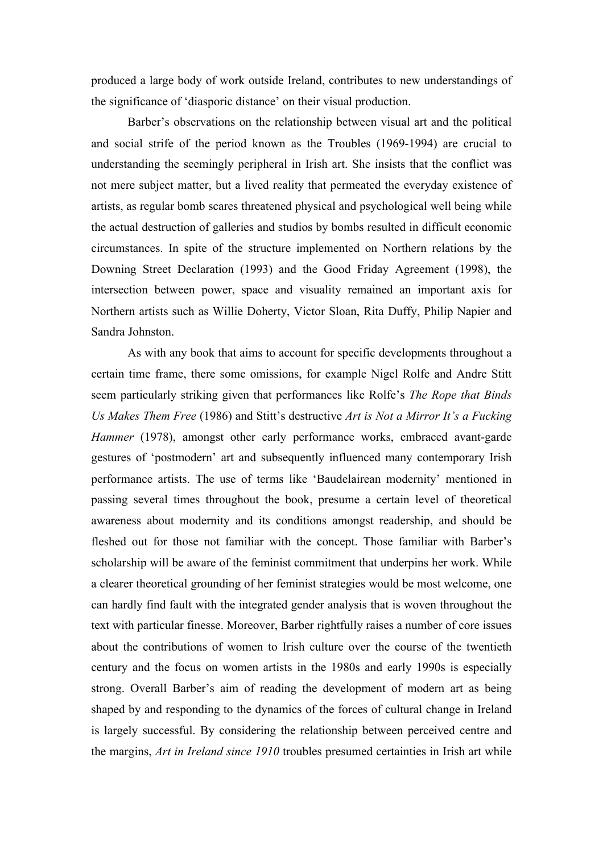produced a large body of work outside Ireland, contributes to new understandings of the significance of 'diasporic distance' on their visual production.

Barber's observations on the relationship between visual art and the political and social strife of the period known as the Troubles (1969-1994) are crucial to understanding the seemingly peripheral in Irish art. She insists that the conflict was not mere subject matter, but a lived reality that permeated the everyday existence of artists, as regular bomb scares threatened physical and psychological well being while the actual destruction of galleries and studios by bombs resulted in difficult economic circumstances. In spite of the structure implemented on Northern relations by the Downing Street Declaration (1993) and the Good Friday Agreement (1998), the intersection between power, space and visuality remained an important axis for Northern artists such as Willie Doherty, Victor Sloan, Rita Duffy, Philip Napier and Sandra Johnston.

As with any book that aims to account for specific developments throughout a certain time frame, there some omissions, for example Nigel Rolfe and Andre Stitt seem particularly striking given that performances like Rolfe's *The Rope that Binds Us Makes Them Free* (1986) and Stitt's destructive *Art is Not a Mirror It's a Fucking Hammer* (1978), amongst other early performance works, embraced avant-garde gestures of 'postmodern' art and subsequently influenced many contemporary Irish performance artists. The use of terms like 'Baudelairean modernity' mentioned in passing several times throughout the book, presume a certain level of theoretical awareness about modernity and its conditions amongst readership, and should be fleshed out for those not familiar with the concept. Those familiar with Barber's scholarship will be aware of the feminist commitment that underpins her work. While a clearer theoretical grounding of her feminist strategies would be most welcome, one can hardly find fault with the integrated gender analysis that is woven throughout the text with particular finesse. Moreover, Barber rightfully raises a number of core issues about the contributions of women to Irish culture over the course of the twentieth century and the focus on women artists in the 1980s and early 1990s is especially strong. Overall Barber's aim of reading the development of modern art as being shaped by and responding to the dynamics of the forces of cultural change in Ireland is largely successful. By considering the relationship between perceived centre and the margins, *Art in Ireland since 1910* troubles presumed certainties in Irish art while